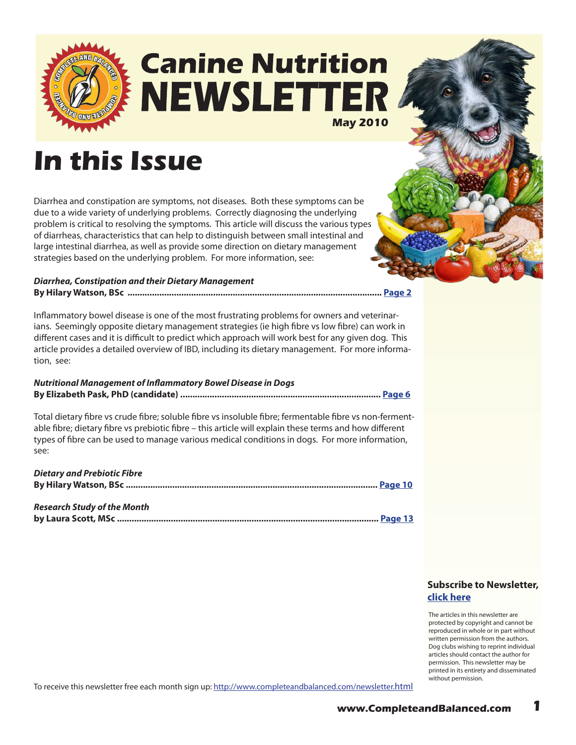

## **Canine Nutrition NEWSLETTE May 2010**

## **In this Issue**

Diarrhea and constipation are symptoms, not diseases. Both these symptoms can be due to a wide variety of underlying problems. Correctly diagnosing the underlying problem is critical to resolving the symptoms. This article will discuss the various types of diarrheas, characteristics that can help to distinguish between small intestinal and large intestinal diarrhea, as well as provide some direction on dietary management strategies based on the underlying problem. For more information, see:

#### *Diarrhea, Constipation and their Dietary Management* **By Hilary Watson, BSc ........................................................................................................ [Page 2](#page-1-0)**

Inflammatory bowel disease is one of the most frustrating problems for owners and veterinarians. Seemingly opposite dietary management strategies (ie high fibre vs low fibre) can work in different cases and it is difficult to predict which approach will work best for any given dog. This article provides a detailed overview of IBD, including its dietary management. For more information, see:

#### *Nutritional Management of Inflammatory Bowel Disease in Dogs* **By Elizabeth Pask, PhD (candidate) .................................................................................. [Page](#page-5-0) 6**

Total dietary fibre vs crude fibre; soluble fibre vs insoluble fibre; fermentable fibre vs non-fermentable fibre; dietary fibre vs prebiotic fibre – this article will explain these terms and how different types of fibre can be used to manage various medical conditions in dogs. For more information, see:

| <b>Dietary and Prebiotic Fibre</b> |  |
|------------------------------------|--|
|                                    |  |
|                                    |  |
| <b>Research Study of the Month</b> |  |

| Research Study of the Month |  |
|-----------------------------|--|
|                             |  |

### **[Subscribe to Newsletter,](http://ymlp.com/signup.php?id=geebeqbgmgh)  click here**

The articles in this newsletter are protected by copyright and cannot be reproduced in whole or in part without written permission from the authors. Dog clubs wishing to reprint individual articles should contact the author for permission. This newsletter may be printed in its entirety and disseminated without permission.

To receive this newsletter free each month sign up:<http://www.completeandbalanced.com/newsletter.html>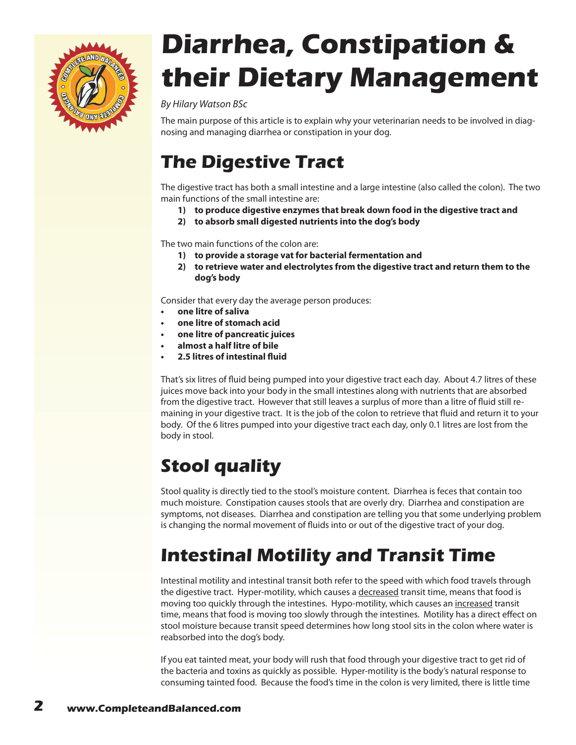<span id="page-1-0"></span>

# **Diarrhea, Constipation & their Dietary Management**

### *By Hilary Watson BSc*

The main purpose of this article is to explain why your veterinarian needs to be involved in diagnosing and managing diarrhea or constipation in your dog.

### **The Digestive Tract**

The digestive tract has both a small intestine and a large intestine (also called the colon). The two main functions of the small intestine are:

- **1) to produce digestive enzymes that break down food in the digestive tract and**
- **2) to absorb small digested nutrients into the dog's body**

The two main functions of the colon are:

- **1) to provide a storage vat for bacterial fermentation and**
- **2) to retrieve water and electrolytes from the digestive tract and return them to the dog's body**

Consider that every day the average person produces:

- **b** one litre of saliva
- **• one litre of stomach acid**
- **• one litre of pancreatic juices**
- **• almost a half litre of bile**
- **• 2.5 litres of intestinal fluid**

That's six litres of fluid being pumped into your digestive tract each day. About 4.7 litres of these juices move back into your body in the small intestines along with nutrients that are absorbed from the digestive tract. However that still leaves a surplus of more than a litre of fluid still remaining in your digestive tract. It is the job of the colon to retrieve that fluid and return it to your body. Of the 6 litres pumped into your digestive tract each day, only 0.1 litres are lost from the body in stool.

## **Stool quality**

Stool quality is directly tied to the stool's moisture content. Diarrhea is feces that contain too much moisture. Constipation causes stools that are overly dry. Diarrhea and constipation are symptoms, not diseases. Diarrhea and constipation are telling you that some underlying problem is changing the normal movement of fluids into or out of the digestive tract of your dog.

## **Intestinal Motility and Transit Time**

Intestinal motility and intestinal transit both refer to the speed with which food travels through the digestive tract. Hyper-motility, which causes a decreased transit time, means that food is moving too quickly through the intestines. Hypo-motility, which causes an increased transit time, means that food is moving too slowly through the intestines. Motility has a direct effect on stool moisture because transit speed determines how long stool sits in the colon where water is reabsorbed into the dog's body.

If you eat tainted meat, your body will rush that food through your digestive tract to get rid of the bacteria and toxins as quickly as possible. Hyper-motility is the body's natural response to consuming tainted food. Because the food's time in the colon is very limited, there is little time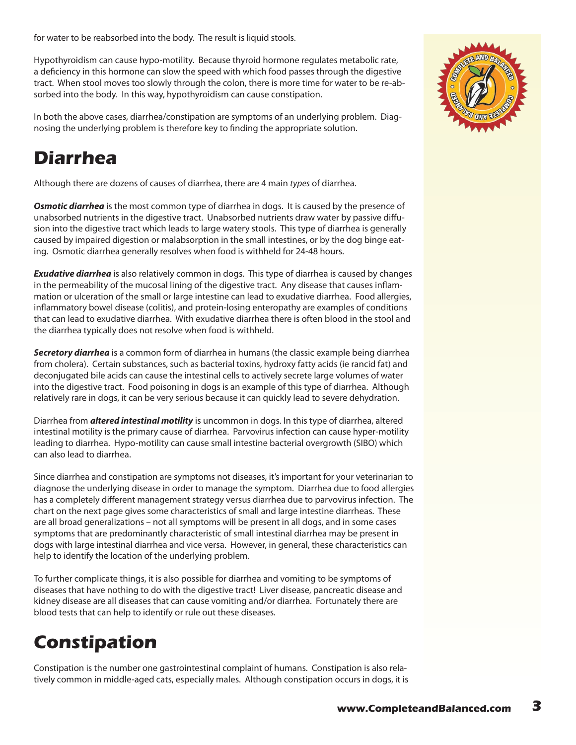for water to be reabsorbed into the body. The result is liquid stools.

Hypothyroidism can cause hypo-motility. Because thyroid hormone regulates metabolic rate, a deficiency in this hormone can slow the speed with which food passes through the digestive tract. When stool moves too slowly through the colon, there is more time for water to be re-absorbed into the body. In this way, hypothyroidism can cause constipation.

In both the above cases, diarrhea/constipation are symptoms of an underlying problem. Diagnosing the underlying problem is therefore key to finding the appropriate solution.

## **Diarrhea**

Although there are dozens of causes of diarrhea, there are 4 main *types* of diarrhea.

*Osmotic diarrhea* is the most common type of diarrhea in dogs. It is caused by the presence of unabsorbed nutrients in the digestive tract. Unabsorbed nutrients draw water by passive diffusion into the digestive tract which leads to large watery stools. This type of diarrhea is generally caused by impaired digestion or malabsorption in the small intestines, or by the dog binge eating. Osmotic diarrhea generally resolves when food is withheld for 24-48 hours.

*Exudative diarrhea* is also relatively common in dogs. This type of diarrhea is caused by changes in the permeability of the mucosal lining of the digestive tract. Any disease that causes inflammation or ulceration of the small or large intestine can lead to exudative diarrhea. Food allergies, inflammatory bowel disease (colitis), and protein-losing enteropathy are examples of conditions that can lead to exudative diarrhea. With exudative diarrhea there is often blood in the stool and the diarrhea typically does not resolve when food is withheld.

*Secretory diarrhea* is a common form of diarrhea in humans (the classic example being diarrhea from cholera). Certain substances, such as bacterial toxins, hydroxy fatty acids (ie rancid fat) and deconjugated bile acids can cause the intestinal cells to actively secrete large volumes of water into the digestive tract. Food poisoning in dogs is an example of this type of diarrhea. Although relatively rare in dogs, it can be very serious because it can quickly lead to severe dehydration.

Diarrhea from *altered intestinal motility* is uncommon in dogs. In this type of diarrhea, altered intestinal motility is the primary cause of diarrhea. Parvovirus infection can cause hyper-motility leading to diarrhea. Hypo-motility can cause small intestine bacterial overgrowth (SIBO) which can also lead to diarrhea.

Since diarrhea and constipation are symptoms not diseases, it's important for your veterinarian to diagnose the underlying disease in order to manage the symptom. Diarrhea due to food allergies has a completely different management strategy versus diarrhea due to parvovirus infection. The chart on the next page gives some characteristics of small and large intestine diarrheas. These are all broad generalizations – not all symptoms will be present in all dogs, and in some cases symptoms that are predominantly characteristic of small intestinal diarrhea may be present in dogs with large intestinal diarrhea and vice versa. However, in general, these characteristics can help to identify the location of the underlying problem.

To further complicate things, it is also possible for diarrhea and vomiting to be symptoms of diseases that have nothing to do with the digestive tract! Liver disease, pancreatic disease and kidney disease are all diseases that can cause vomiting and/or diarrhea. Fortunately there are blood tests that can help to identify or rule out these diseases.

## **Constipation**

Constipation is the number one gastrointestinal complaint of humans. Constipation is also relatively common in middle-aged cats, especially males. Although constipation occurs in dogs, it is

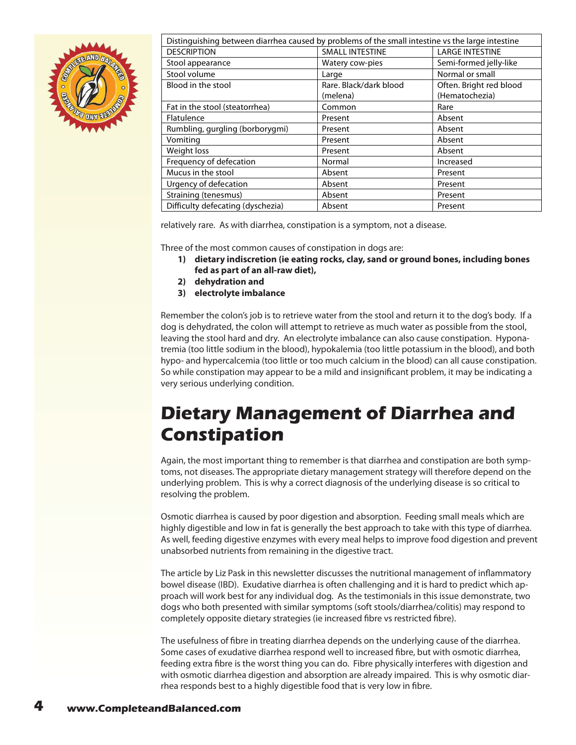

| Distinguishing between diarrhea caused by problems of the small intestine vs the large intestine |                        |                         |  |
|--------------------------------------------------------------------------------------------------|------------------------|-------------------------|--|
| <b>DESCRIPTION</b>                                                                               | <b>SMALL INTESTINE</b> | <b>LARGE INTESTINE</b>  |  |
| Stool appearance                                                                                 | Watery cow-pies        | Semi-formed jelly-like  |  |
| Stool volume                                                                                     | Large                  | Normal or small         |  |
| Blood in the stool                                                                               | Rare. Black/dark blood | Often. Bright red blood |  |
|                                                                                                  | (melena)               | (Hematochezia)          |  |
| Fat in the stool (steatorrhea)                                                                   | Common                 | Rare                    |  |
| Flatulence                                                                                       | Present                | Absent                  |  |
| Rumbling, gurgling (borborygmi)                                                                  | Present                | Absent                  |  |
| Vomiting                                                                                         | Present                | Absent                  |  |
| Weight loss                                                                                      | Present                | Absent                  |  |
| Frequency of defecation                                                                          | Normal                 | Increased               |  |
| Mucus in the stool                                                                               | Absent                 | Present                 |  |
| Urgency of defecation                                                                            | Absent                 | Present                 |  |
| Straining (tenesmus)                                                                             | Absent                 | Present                 |  |
| Difficulty defecating (dyschezia)                                                                | Absent                 | Present                 |  |

relatively rare. As with diarrhea, constipation is a symptom, not a disease.

Three of the most common causes of constipation in dogs are:

- **1) dietary indiscretion (ie eating rocks, clay, sand or ground bones, including bones fed as part of an all-raw diet),**
- **2) dehydration and**
- **3) electrolyte imbalance**

Remember the colon's job is to retrieve water from the stool and return it to the dog's body. If a dog is dehydrated, the colon will attempt to retrieve as much water as possible from the stool, leaving the stool hard and dry. An electrolyte imbalance can also cause constipation. Hyponatremia (too little sodium in the blood), hypokalemia (too little potassium in the blood), and both hypo- and hypercalcemia (too little or too much calcium in the blood) can all cause constipation. So while constipation may appear to be a mild and insignificant problem, it may be indicating a very serious underlying condition.

## **Dietary Management of Diarrhea and Constipation**

Again, the most important thing to remember is that diarrhea and constipation are both symptoms, not diseases. The appropriate dietary management strategy will therefore depend on the underlying problem. This is why a correct diagnosis of the underlying disease is so critical to resolving the problem.

Osmotic diarrhea is caused by poor digestion and absorption. Feeding small meals which are highly digestible and low in fat is generally the best approach to take with this type of diarrhea. As well, feeding digestive enzymes with every meal helps to improve food digestion and prevent unabsorbed nutrients from remaining in the digestive tract.

The article by Liz Pask in this newsletter discusses the nutritional management of inflammatory bowel disease (IBD). Exudative diarrhea is often challenging and it is hard to predict which approach will work best for any individual dog. As the testimonials in this issue demonstrate, two dogs who both presented with similar symptoms (soft stools/diarrhea/colitis) may respond to completely opposite dietary strategies (ie increased fibre vs restricted fibre).

The usefulness of fibre in treating diarrhea depends on the underlying cause of the diarrhea. Some cases of exudative diarrhea respond well to increased fibre, but with osmotic diarrhea, feeding extra fibre is the worst thing you can do. Fibre physically interferes with digestion and with osmotic diarrhea digestion and absorption are already impaired. This is why osmotic diarrhea responds best to a highly digestible food that is very low in fibre.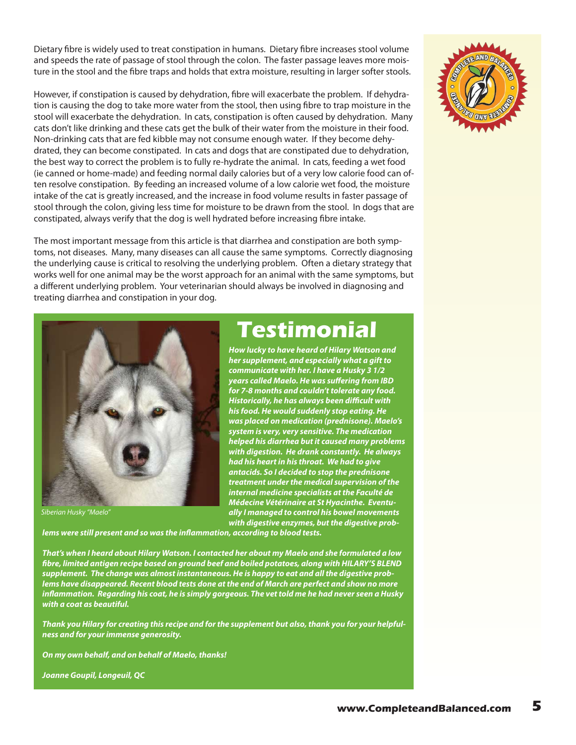Dietary fibre is widely used to treat constipation in humans. Dietary fibre increases stool volume and speeds the rate of passage of stool through the colon. The faster passage leaves more moisture in the stool and the fibre traps and holds that extra moisture, resulting in larger softer stools.

However, if constipation is caused by dehydration, fibre will exacerbate the problem. If dehydration is causing the dog to take more water from the stool, then using fibre to trap moisture in the stool will exacerbate the dehydration. In cats, constipation is often caused by dehydration. Many cats don't like drinking and these cats get the bulk of their water from the moisture in their food. Non-drinking cats that are fed kibble may not consume enough water. If they become dehydrated, they can become constipated. In cats and dogs that are constipated due to dehydration, the best way to correct the problem is to fully re-hydrate the animal. In cats, feeding a wet food (ie canned or home-made) and feeding normal daily calories but of a very low calorie food can often resolve constipation. By feeding an increased volume of a low calorie wet food, the moisture intake of the cat is greatly increased, and the increase in food volume results in faster passage of stool through the colon, giving less time for moisture to be drawn from the stool. In dogs that are constipated, always verify that the dog is well hydrated before increasing fibre intake.

The most important message from this article is that diarrhea and constipation are both symptoms, not diseases. Many, many diseases can all cause the same symptoms. Correctly diagnosing the underlying cause is critical to resolving the underlying problem. Often a dietary strategy that works well for one animal may be the worst approach for an animal with the same symptoms, but a different underlying problem. Your veterinarian should always be involved in diagnosing and treating diarrhea and constipation in your dog.



*Siberian Husky "Maelo"*

**Testimonial** *How lucky to have heard of Hilary Watson and* 

*her supplement, and especially what a gift to communicate with her. I have a Husky 3 1/2 years called Maelo. He was suffering from IBD for 7-8 months and couldn't tolerate any food. Historically, he has always been difficult with his food. He would suddenly stop eating. He was placed on medication (prednisone). Maelo's system is very, very sensitive. The medication helped his diarrhea but it caused many problems with digestion. He drank constantly. He always had his heart in his throat. We had to give antacids. So I decided to stop the prednisone treatment under the medical supervision of the internal medicine specialists at the Faculté de Médecine Vétérinaire at St Hyacinthe. Eventually I managed to control his bowel movements with digestive enzymes, but the digestive prob-*

*lems were still present and so was the inflammation, according to blood tests.* 

*That's when I heard about Hilary Watson. I contacted her about my Maelo and she formulated a low fibre, limited antigen recipe based on ground beef and boiled potatoes, along with HILARY'S BLEND supplement. The change was almost instantaneous. He is happy to eat and all the digestive problems have disappeared. Recent blood tests done at the end of March are perfect and show no more inflammation. Regarding his coat, he is simply gorgeous. The vet told me he had never seen a Husky with a coat as beautiful.* 

*Thank you Hilary for creating this recipe and for the supplement but also, thank you for your helpfulness and for your immense generosity.* 

*On my own behalf, and on behalf of Maelo, thanks!* 

*Joanne Goupil, Longeuil, QC*

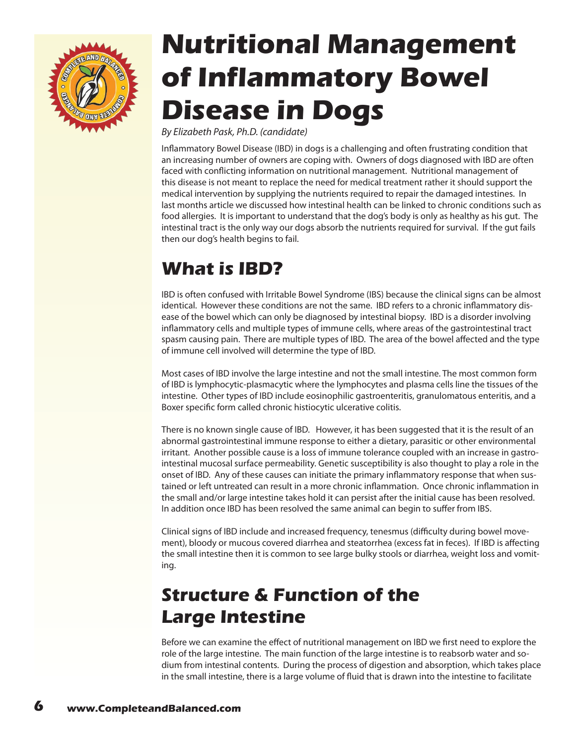<span id="page-5-0"></span>

# **Nutritional Management of Inflammatory Bowel Disease in Dogs**

*By Elizabeth Pask, Ph.D. (candidate)*

Inflammatory Bowel Disease (IBD) in dogs is a challenging and often frustrating condition that an increasing number of owners are coping with. Owners of dogs diagnosed with IBD are often faced with conflicting information on nutritional management. Nutritional management of this disease is not meant to replace the need for medical treatment rather it should support the medical intervention by supplying the nutrients required to repair the damaged intestines. In last months article we discussed how intestinal health can be linked to chronic conditions such as food allergies. It is important to understand that the dog's body is only as healthy as his gut. The intestinal tract is the only way our dogs absorb the nutrients required for survival. If the gut fails then our dog's health begins to fail.

## **What is IBD?**

IBD is often confused with Irritable Bowel Syndrome (IBS) because the clinical signs can be almost identical. However these conditions are not the same. IBD refers to a chronic inflammatory disease of the bowel which can only be diagnosed by intestinal biopsy. IBD is a disorder involving inflammatory cells and multiple types of immune cells, where areas of the gastrointestinal tract spasm causing pain. There are multiple types of IBD. The area of the bowel affected and the type of immune cell involved will determine the type of IBD.

Most cases of IBD involve the large intestine and not the small intestine. The most common form of IBD is lymphocytic-plasmacytic where the lymphocytes and plasma cells line the tissues of the intestine. Other types of IBD include eosinophilic gastroenteritis, granulomatous enteritis, and a Boxer specific form called chronic histiocytic ulcerative colitis.

There is no known single cause of IBD. However, it has been suggested that it is the result of an abnormal gastrointestinal immune response to either a dietary, parasitic or other environmental irritant. Another possible cause is a loss of immune tolerance coupled with an increase in gastrointestinal mucosal surface permeability. Genetic susceptibility is also thought to play a role in the onset of IBD. Any of these causes can initiate the primary inflammatory response that when sustained or left untreated can result in a more chronic inflammation. Once chronic inflammation in the small and/or large intestine takes hold it can persist after the initial cause has been resolved. In addition once IBD has been resolved the same animal can begin to suffer from IBS.

Clinical signs of IBD include and increased frequency, tenesmus (difficulty during bowel movement), bloody or mucous covered diarrhea and steatorrhea (excess fat in feces). If IBD is affecting the small intestine then it is common to see large bulky stools or diarrhea, weight loss and vomiting.

## **Structure & Function of the Large Intestine**

Before we can examine the effect of nutritional management on IBD we first need to explore the role of the large intestine. The main function of the large intestine is to reabsorb water and sodium from intestinal contents. During the process of digestion and absorption, which takes place in the small intestine, there is a large volume of fluid that is drawn into the intestine to facilitate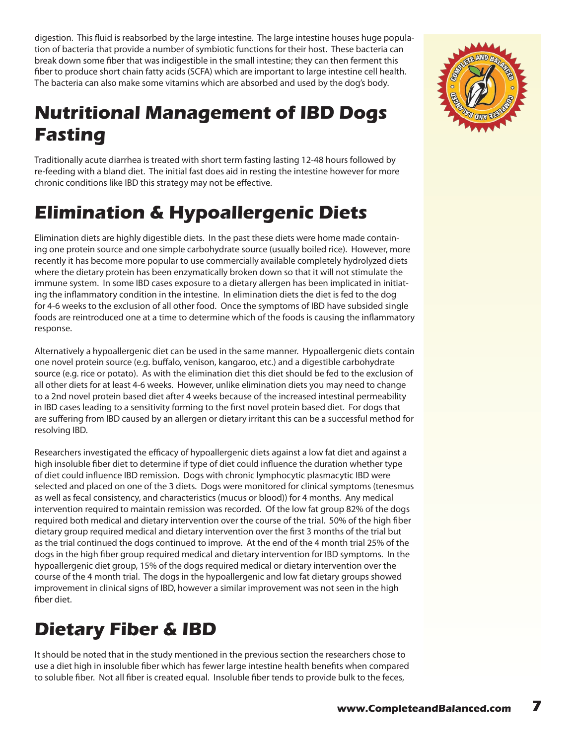digestion. This fluid is reabsorbed by the large intestine. The large intestine houses huge population of bacteria that provide a number of symbiotic functions for their host. These bacteria can break down some fiber that was indigestible in the small intestine; they can then ferment this fiber to produce short chain fatty acids (SCFA) which are important to large intestine cell health. The bacteria can also make some vitamins which are absorbed and used by the dog's body.

## **Nutritional Management of IBD Dogs Fasting**

Traditionally acute diarrhea is treated with short term fasting lasting 12-48 hours followed by re-feeding with a bland diet. The initial fast does aid in resting the intestine however for more chronic conditions like IBD this strategy may not be effective.

## **Elimination & Hypoallergenic Diets**

Elimination diets are highly digestible diets. In the past these diets were home made containing one protein source and one simple carbohydrate source (usually boiled rice). However, more recently it has become more popular to use commercially available completely hydrolyzed diets where the dietary protein has been enzymatically broken down so that it will not stimulate the immune system. In some IBD cases exposure to a dietary allergen has been implicated in initiating the inflammatory condition in the intestine. In elimination diets the diet is fed to the dog for 4-6 weeks to the exclusion of all other food. Once the symptoms of IBD have subsided single foods are reintroduced one at a time to determine which of the foods is causing the inflammatory response.

Alternatively a hypoallergenic diet can be used in the same manner. Hypoallergenic diets contain one novel protein source (e.g. buffalo, venison, kangaroo, etc.) and a digestible carbohydrate source (e.g. rice or potato). As with the elimination diet this diet should be fed to the exclusion of all other diets for at least 4-6 weeks. However, unlike elimination diets you may need to change to a 2nd novel protein based diet after 4 weeks because of the increased intestinal permeability in IBD cases leading to a sensitivity forming to the first novel protein based diet. For dogs that are suffering from IBD caused by an allergen or dietary irritant this can be a successful method for resolving IBD.

Researchers investigated the efficacy of hypoallergenic diets against a low fat diet and against a high insoluble fiber diet to determine if type of diet could influence the duration whether type of diet could influence IBD remission. Dogs with chronic lymphocytic plasmacytic IBD were selected and placed on one of the 3 diets. Dogs were monitored for clinical symptoms (tenesmus as well as fecal consistency, and characteristics (mucus or blood)) for 4 months. Any medical intervention required to maintain remission was recorded. Of the low fat group 82% of the dogs required both medical and dietary intervention over the course of the trial. 50% of the high fiber dietary group required medical and dietary intervention over the first 3 months of the trial but as the trial continued the dogs continued to improve. At the end of the 4 month trial 25% of the dogs in the high fiber group required medical and dietary intervention for IBD symptoms. In the hypoallergenic diet group, 15% of the dogs required medical or dietary intervention over the course of the 4 month trial. The dogs in the hypoallergenic and low fat dietary groups showed improvement in clinical signs of IBD, however a similar improvement was not seen in the high fiber diet.

## **Dietary Fiber & IBD**

It should be noted that in the study mentioned in the previous section the researchers chose to use a diet high in insoluble fiber which has fewer large intestine health benefits when compared to soluble fiber. Not all fiber is created equal. Insoluble fiber tends to provide bulk to the feces,

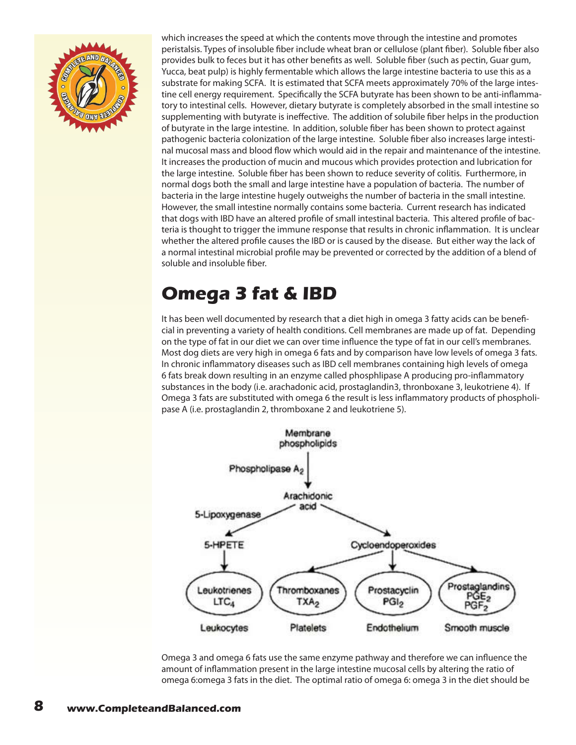

which increases the speed at which the contents move through the intestine and promotes peristalsis. Types of insoluble fiber include wheat bran or cellulose (plant fiber). Soluble fiber also provides bulk to feces but it has other benefits as well. Soluble fiber (such as pectin, Guar gum, Yucca, beat pulp) is highly fermentable which allows the large intestine bacteria to use this as a substrate for making SCFA. It is estimated that SCFA meets approximately 70% of the large intestine cell energy requirement. Specifically the SCFA butyrate has been shown to be anti-inflammatory to intestinal cells. However, dietary butyrate is completely absorbed in the small intestine so supplementing with butyrate is ineffective. The addition of solubile fiber helps in the production of butyrate in the large intestine. In addition, soluble fiber has been shown to protect against pathogenic bacteria colonization of the large intestine. Soluble fiber also increases large intestinal mucosal mass and blood flow which would aid in the repair and maintenance of the intestine. It increases the production of mucin and mucous which provides protection and lubrication for the large intestine. Soluble fiber has been shown to reduce severity of colitis. Furthermore, in normal dogs both the small and large intestine have a population of bacteria. The number of bacteria in the large intestine hugely outweighs the number of bacteria in the small intestine. However, the small intestine normally contains some bacteria. Current research has indicated that dogs with IBD have an altered profile of small intestinal bacteria. This altered profile of bacteria is thought to trigger the immune response that results in chronic inflammation. It is unclear whether the altered profile causes the IBD or is caused by the disease. But either way the lack of a normal intestinal microbial profile may be prevented or corrected by the addition of a blend of soluble and insoluble fiber.

## **Omega 3 fat & IBD**

It has been well documented by research that a diet high in omega 3 fatty acids can be beneficial in preventing a variety of health conditions. Cell membranes are made up of fat. Depending on the type of fat in our diet we can over time influence the type of fat in our cell's membranes. Most dog diets are very high in omega 6 fats and by comparison have low levels of omega 3 fats. In chronic inflammatory diseases such as IBD cell membranes containing high levels of omega 6 fats break down resulting in an enzyme called phosphlipase A producing pro-inflammatory substances in the body (i.e. arachadonic acid, prostaglandin3, thronboxane 3, leukotriene 4). If Omega 3 fats are substituted with omega 6 the result is less inflammatory products of phospholipase A (i.e. prostaglandin 2, thromboxane 2 and leukotriene 5).



Omega 3 and omega 6 fats use the same enzyme pathway and therefore we can influence the amount of inflammation present in the large intestine mucosal cells by altering the ratio of omega 6:omega 3 fats in the diet. The optimal ratio of omega 6: omega 3 in the diet should be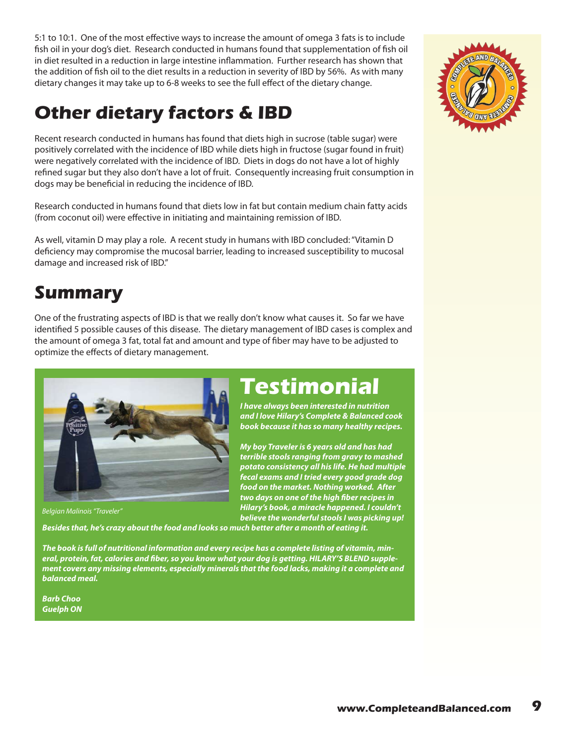5:1 to 10:1. One of the most effective ways to increase the amount of omega 3 fats is to include fish oil in your dog's diet. Research conducted in humans found that supplementation of fish oil in diet resulted in a reduction in large intestine inflammation. Further research has shown that the addition of fish oil to the diet results in a reduction in severity of IBD by 56%. As with many dietary changes it may take up to 6-8 weeks to see the full effect of the dietary change.

## **Other dietary factors & IBD**

Recent research conducted in humans has found that diets high in sucrose (table sugar) were positively correlated with the incidence of IBD while diets high in fructose (sugar found in fruit) were negatively correlated with the incidence of IBD. Diets in dogs do not have a lot of highly refined sugar but they also don't have a lot of fruit. Consequently increasing fruit consumption in dogs may be beneficial in reducing the incidence of IBD.

Research conducted in humans found that diets low in fat but contain medium chain fatty acids (from coconut oil) were effective in initiating and maintaining remission of IBD.

As well, vitamin D may play a role. A recent study in humans with IBD concluded: "Vitamin D deficiency may compromise the mucosal barrier, leading to increased susceptibility to mucosal damage and increased risk of IBD."

### **Summary**

One of the frustrating aspects of IBD is that we really don't know what causes it. So far we have identified 5 possible causes of this disease. The dietary management of IBD cases is complex and the amount of omega 3 fat, total fat and amount and type of fiber may have to be adjusted to optimize the effects of dietary management.



*Belgian Malinois "Traveler"*

## **Testimonial**

*I have always been interested in nutrition and I love Hilary's Complete & Balanced cook book because it has so many healthy recipes.*

*My boy Traveler is 6 years old and has had terrible stools ranging from gravy to mashed potato consistency all his life. He had multiple fecal exams and I tried every good grade dog food on the market. Nothing worked. After two days on one of the high fiber recipes in Hilary's book, a miracle happened. I couldn't believe the wonderful stools I was picking up!* 

*Besides that, he's crazy about the food and looks so much better after a month of eating it.*

*The book is full of nutritional information and every recipe has a complete listing of vitamin, mineral, protein, fat, calories and fiber, so you know what your dog is getting. HILARY'S BLEND supplement covers any missing elements, especially minerals that the food lacks, making it a complete and balanced meal.*

*Barb Choo Guelph ON*

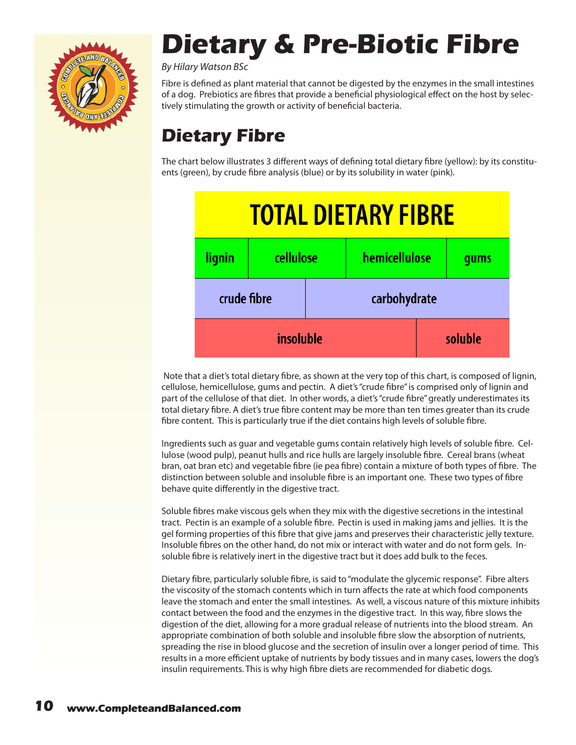<span id="page-9-0"></span>

# **Dietary & Pre-Biotic Fibre**

*By Hilary Watson BSc*

Fibre is defined as plant material that cannot be digested by the enzymes in the small intestines of a dog. Prebiotics are fibres that provide a beneficial physiological effect on the host by selectively stimulating the growth or activity of beneficial bacteria.

## **Dietary Fibre**

The chart below illustrates 3 different ways of defining total dietary fibre (yellow): by its constituents (green), by crude fibre analysis (blue) or by its solubility in water (pink).



 Note that a diet's total dietary fibre, as shown at the very top of this chart, is composed of lignin, cellulose, hemicellulose, gums and pectin. A diet's "crude fibre" is comprised only of lignin and part of the cellulose of that diet. In other words, a diet's "crude fibre" greatly underestimates its total dietary fibre. A diet's true fibre content may be more than ten times greater than its crude fibre content. This is particularly true if the diet contains high levels of soluble fibre.

Ingredients such as guar and vegetable gums contain relatively high levels of soluble fibre. Cellulose (wood pulp), peanut hulls and rice hulls are largely insoluble fibre. Cereal brans (wheat bran, oat bran etc) and vegetable fibre (ie pea fibre) contain a mixture of both types of fibre. The distinction between soluble and insoluble fibre is an important one. These two types of fibre behave quite differently in the digestive tract.

Soluble fibres make viscous gels when they mix with the digestive secretions in the intestinal tract. Pectin is an example of a soluble fibre. Pectin is used in making jams and jellies. It is the gel forming properties of this fibre that give jams and preserves their characteristic jelly texture. Insoluble fibres on the other hand, do not mix or interact with water and do not form gels. Insoluble fibre is relatively inert in the digestive tract but it does add bulk to the feces.

Dietary fibre, particularly soluble fibre, is said to "modulate the glycemic response". Fibre alters the viscosity of the stomach contents which in turn affects the rate at which food components leave the stomach and enter the small intestines. As well, a viscous nature of this mixture inhibits contact between the food and the enzymes in the digestive tract. In this way, fibre slows the digestion of the diet, allowing for a more gradual release of nutrients into the blood stream. An appropriate combination of both soluble and insoluble fibre slow the absorption of nutrients, spreading the rise in blood glucose and the secretion of insulin over a longer period of time. This results in a more efficient uptake of nutrients by body tissues and in many cases, lowers the dog's insulin requirements. This is why high fibre diets are recommended for diabetic dogs.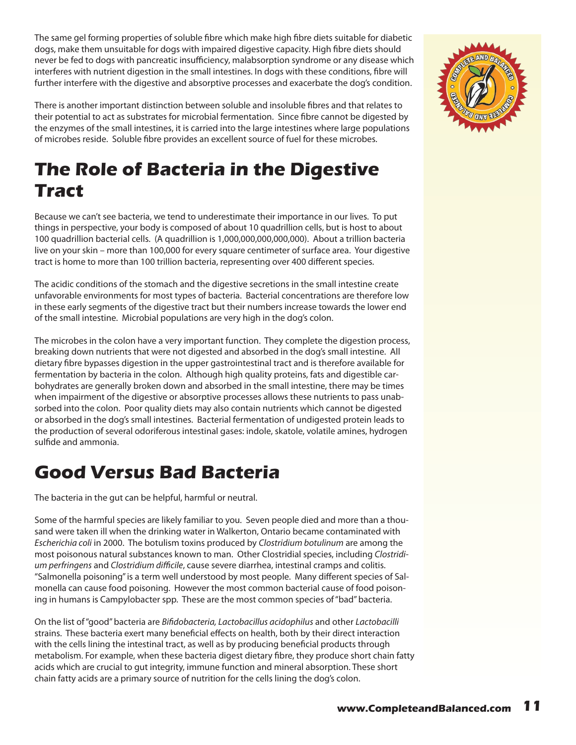The same gel forming properties of soluble fibre which make high fibre diets suitable for diabetic dogs, make them unsuitable for dogs with impaired digestive capacity. High fibre diets should never be fed to dogs with pancreatic insufficiency, malabsorption syndrome or any disease which interferes with nutrient digestion in the small intestines. In dogs with these conditions, fibre will further interfere with the digestive and absorptive processes and exacerbate the dog's condition.

There is another important distinction between soluble and insoluble fibres and that relates to their potential to act as substrates for microbial fermentation. Since fibre cannot be digested by the enzymes of the small intestines, it is carried into the large intestines where large populations of microbes reside. Soluble fibre provides an excellent source of fuel for these microbes.

## **The Role of Bacteria in the Digestive Tract**

Because we can't see bacteria, we tend to underestimate their importance in our lives. To put things in perspective, your body is composed of about 10 quadrillion cells, but is host to about 100 quadrillion bacterial cells. (A quadrillion is 1,000,000,000,000,000). About a trillion bacteria live on your skin – more than 100,000 for every square centimeter of surface area. Your digestive tract is home to more than 100 trillion bacteria, representing over 400 different species.

The acidic conditions of the stomach and the digestive secretions in the small intestine create unfavorable environments for most types of bacteria. Bacterial concentrations are therefore low in these early segments of the digestive tract but their numbers increase towards the lower end of the small intestine. Microbial populations are very high in the dog's colon.

The microbes in the colon have a very important function. They complete the digestion process, breaking down nutrients that were not digested and absorbed in the dog's small intestine. All dietary fibre bypasses digestion in the upper gastrointestinal tract and is therefore available for fermentation by bacteria in the colon. Although high quality proteins, fats and digestible carbohydrates are generally broken down and absorbed in the small intestine, there may be times when impairment of the digestive or absorptive processes allows these nutrients to pass unabsorbed into the colon. Poor quality diets may also contain nutrients which cannot be digested or absorbed in the dog's small intestines. Bacterial fermentation of undigested protein leads to the production of several odoriferous intestinal gases: indole, skatole, volatile amines, hydrogen sulfide and ammonia.

### **Good Versus Bad Bacteria**

The bacteria in the gut can be helpful, harmful or neutral.

Some of the harmful species are likely familiar to you. Seven people died and more than a thousand were taken ill when the drinking water in Walkerton, Ontario became contaminated with *Escherichia coli* in 2000. The botulism toxins produced by *Clostridium botulinum* are among the most poisonous natural substances known to man. Other Clostridial species, including *Clostridium perfringens* and *Clostridium difficile*, cause severe diarrhea, intestinal cramps and colitis. "Salmonella poisoning" is a term well understood by most people. Many different species of Salmonella can cause food poisoning. However the most common bacterial cause of food poisoning in humans is Campylobacter spp. These are the most common species of "bad" bacteria.

On the list of "good" bacteria are *Bifidobacteria, Lactobacillus acidophilus* and other *Lactobacilli*  strains. These bacteria exert many beneficial effects on health, both by their direct interaction with the cells lining the intestinal tract, as well as by producing beneficial products through metabolism. For example, when these bacteria digest dietary fibre, they produce short chain fatty acids which are crucial to gut integrity, immune function and mineral absorption. These short chain fatty acids are a primary source of nutrition for the cells lining the dog's colon.

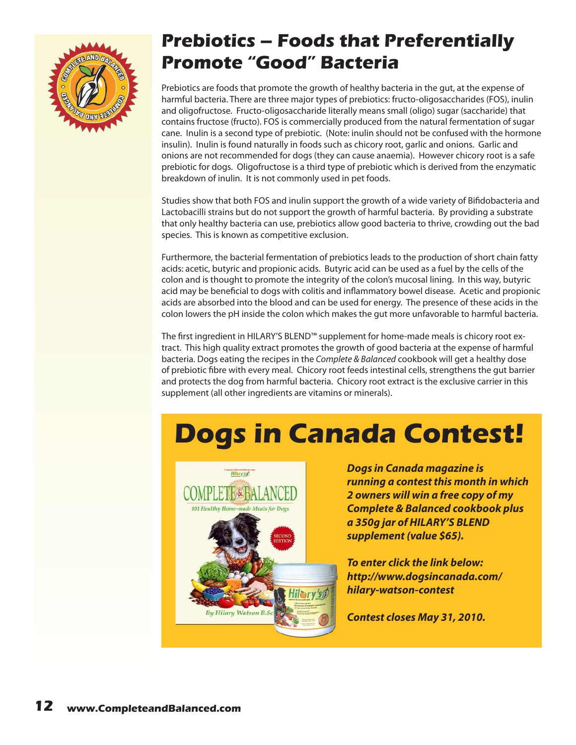

### **Prebiotics – Foods that Preferentially Promote "Good" Bacteria**

Prebiotics are foods that promote the growth of healthy bacteria in the gut, at the expense of harmful bacteria. There are three major types of prebiotics: fructo-oligosaccharides (FOS), inulin and oligofructose. Fructo-oligosaccharide literally means small (oligo) sugar (saccharide) that contains fructose (fructo). FOS is commercially produced from the natural fermentation of sugar cane. Inulin is a second type of prebiotic. (Note: inulin should not be confused with the hormone insulin). Inulin is found naturally in foods such as chicory root, garlic and onions. Garlic and onions are not recommended for dogs (they can cause anaemia). However chicory root is a safe prebiotic for dogs. Oligofructose is a third type of prebiotic which is derived from the enzymatic breakdown of inulin. It is not commonly used in pet foods.

Studies show that both FOS and inulin support the growth of a wide variety of Bifidobacteria and Lactobacilli strains but do not support the growth of harmful bacteria. By providing a substrate that only healthy bacteria can use, prebiotics allow good bacteria to thrive, crowding out the bad species. This is known as competitive exclusion.

Furthermore, the bacterial fermentation of prebiotics leads to the production of short chain fatty acids: acetic, butyric and propionic acids. Butyric acid can be used as a fuel by the cells of the colon and is thought to promote the integrity of the colon's mucosal lining. In this way, butyric acid may be beneficial to dogs with colitis and inflammatory bowel disease. Acetic and propionic acids are absorbed into the blood and can be used for energy. The presence of these acids in the colon lowers the pH inside the colon which makes the gut more unfavorable to harmful bacteria.

The first ingredient in HILARY'S BLEND™ supplement for home-made meals is chicory root extract. This high quality extract promotes the growth of good bacteria at the expense of harmful bacteria. Dogs eating the recipes in the *Complete & Balanced* cookbook will get a healthy dose of prebiotic fibre with every meal. Chicory root feeds intestinal cells, strengthens the gut barrier and protects the dog from harmful bacteria. Chicory root extract is the exclusive carrier in this supplement (all other ingredients are vitamins or minerals).

# **Dogs in Canada Contest!**



*Dogs in Canada magazine is running a contest this month in which 2 owners will win a free copy of my Complete & Balanced cookbook plus a 350g jar of HILARY'S BLEND supplement (value \$65).*

*To enter click the link below: [http://www.dogsincanada.com/](http://www.dogsincanada.com/hilary-watson-contest) [hilary-watson-contest](http://www.dogsincanada.com/hilary-watson-contest)*

*Contest closes May 31, 2010.*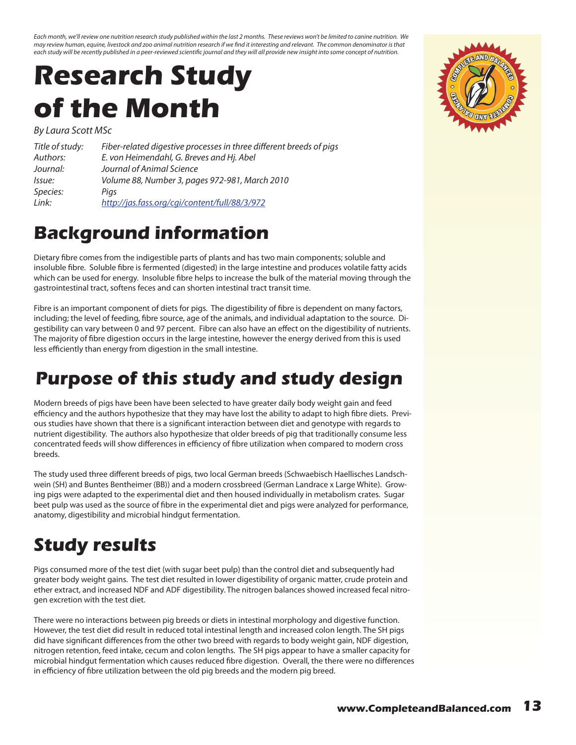<span id="page-12-0"></span>*Each month, we'll review one nutrition research study published within the last 2 months. These reviews won't be limited to canine nutrition. We may review human, equine, livestock and zoo animal nutrition research if we find it interesting and relevant. The common denominator is that each study will be recently published in a peer-reviewed scientific journal and they will all provide new insight into some concept of nutrition.*

# **Research Study of the Month**

*By Laura Scott MSc*

| Title of study: | Fiber-related digestive processes in three different breeds of pigs |
|-----------------|---------------------------------------------------------------------|
| Authors:        | E. von Heimendahl, G. Breves and Hj. Abel                           |
| Journal:        | Journal of Animal Science                                           |
| lssue:          | Volume 88, Number 3, pages 972-981, March 2010                      |
| Species:        | Pigs                                                                |
| Link:           | http://jas.fass.org/cgi/content/full/88/3/972                       |

### **Background information**

Dietary fibre comes from the indigestible parts of plants and has two main components; soluble and insoluble fibre. Soluble fibre is fermented (digested) in the large intestine and produces volatile fatty acids which can be used for energy. Insoluble fibre helps to increase the bulk of the material moving through the gastrointestinal tract, softens feces and can shorten intestinal tract transit time.

Fibre is an important component of diets for pigs. The digestibility of fibre is dependent on many factors, including; the level of feeding, fibre source, age of the animals, and individual adaptation to the source. Digestibility can vary between 0 and 97 percent. Fibre can also have an effect on the digestibility of nutrients. The majority of fibre digestion occurs in the large intestine, however the energy derived from this is used less efficiently than energy from digestion in the small intestine.

### **Purpose of this study and study design**

Modern breeds of pigs have been have been selected to have greater daily body weight gain and feed efficiency and the authors hypothesize that they may have lost the ability to adapt to high fibre diets. Previous studies have shown that there is a significant interaction between diet and genotype with regards to nutrient digestibility. The authors also hypothesize that older breeds of pig that traditionally consume less concentrated feeds will show differences in efficiency of fibre utilization when compared to modern cross breeds.

The study used three different breeds of pigs, two local German breeds (Schwaebisch Haellisches Landschwein (SH) and Buntes Bentheimer (BB)) and a modern crossbreed (German Landrace x Large White). Growing pigs were adapted to the experimental diet and then housed individually in metabolism crates. Sugar beet pulp was used as the source of fibre in the experimental diet and pigs were analyzed for performance, anatomy, digestibility and microbial hindgut fermentation.

## **Study results**

Pigs consumed more of the test diet (with sugar beet pulp) than the control diet and subsequently had greater body weight gains. The test diet resulted in lower digestibility of organic matter, crude protein and ether extract, and increased NDF and ADF digestibility. The nitrogen balances showed increased fecal nitrogen excretion with the test diet.

There were no interactions between pig breeds or diets in intestinal morphology and digestive function. However, the test diet did result in reduced total intestinal length and increased colon length. The SH pigs did have significant differences from the other two breed with regards to body weight gain, NDF digestion, nitrogen retention, feed intake, cecum and colon lengths. The SH pigs appear to have a smaller capacity for microbial hindgut fermentation which causes reduced fibre digestion. Overall, the there were no differences in efficiency of fibre utilization between the old pig breeds and the modern pig breed.

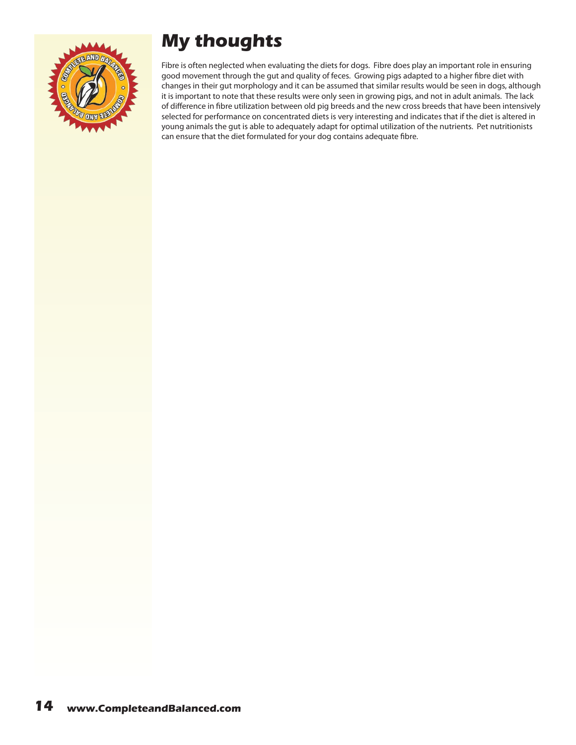

## **My thoughts**

Fibre is often neglected when evaluating the diets for dogs. Fibre does play an important role in ensuring good movement through the gut and quality of feces. Growing pigs adapted to a higher fibre diet with changes in their gut morphology and it can be assumed that similar results would be seen in dogs, although it is important to note that these results were only seen in growing pigs, and not in adult animals. The lack of difference in fibre utilization between old pig breeds and the new cross breeds that have been intensively selected for performance on concentrated diets is very interesting and indicates that if the diet is altered in young animals the gut is able to adequately adapt for optimal utilization of the nutrients. Pet nutritionists can ensure that the diet formulated for your dog contains adequate fibre.